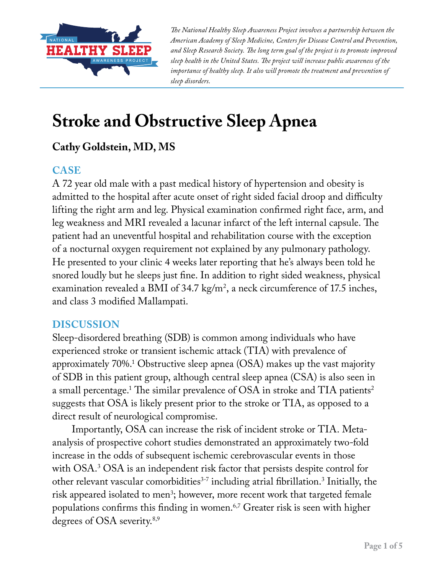

*The National Healthy Sleep Awareness Project involves a partnership between the American Academy of Sleep Medicine, Centers for Disease Control and Prevention, and Sleep Research Society. The long term goal of the project is to promote improved sleep health in the United States. The project will increase public awareness of the importance of healthy sleep. It also will promote the treatment and prevention of sleep disorders.*

# **Stroke and Obstructive Sleep Apnea**

## **Cathy Goldstein, MD, MS**

### **CASE**

A 72 year old male with a past medical history of hypertension and obesity is admitted to the hospital after acute onset of right sided facial droop and difficulty lifting the right arm and leg. Physical examination confirmed right face, arm, and leg weakness and MRI revealed a lacunar infarct of the left internal capsule. The patient had an uneventful hospital and rehabilitation course with the exception of a nocturnal oxygen requirement not explained by any pulmonary pathology. He presented to your clinic 4 weeks later reporting that he's always been told he snored loudly but he sleeps just fine. In addition to right sided weakness, physical examination revealed a BMI of 34.7 kg/m<sup>2</sup>, a neck circumference of 17.5 inches, and class 3 modified Mallampati.

#### **DISCUSSION**

Sleep-disordered breathing (SDB) is common among individuals who have experienced stroke or transient ischemic attack (TIA) with prevalence of approximately 70%.1 Obstructive sleep apnea (OSA) makes up the vast majority of SDB in this patient group, although central sleep apnea (CSA) is also seen in a small percentage. $^{\rm 1}$  The similar prevalence of OSA in stroke and TIA patients $^{\rm 2}$ suggests that OSA is likely present prior to the stroke or TIA, as opposed to a direct result of neurological compromise.

Importantly, OSA can increase the risk of incident stroke or TIA. Metaanalysis of prospective cohort studies demonstrated an approximately two-fold increase in the odds of subsequent ischemic cerebrovascular events in those with OSA.3 OSA is an independent risk factor that persists despite control for other relevant vascular comorbidities<sup>3-7</sup> including atrial fibrillation.<sup>3</sup> Initially, the risk appeared isolated to men<sup>3</sup>; however, more recent work that targeted female populations confirms this finding in women.6,7 Greater risk is seen with higher degrees of OSA severity.8,9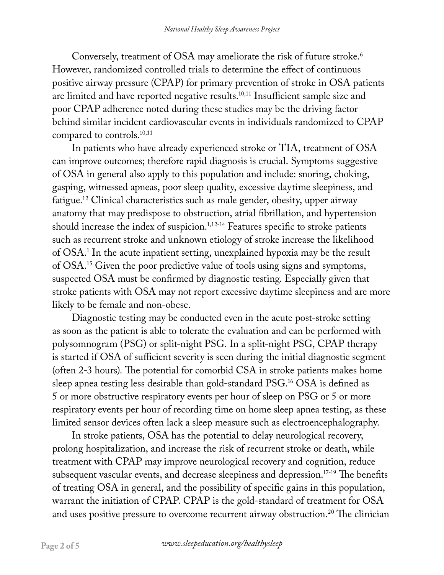Conversely, treatment of OSA may ameliorate the risk of future stroke.<sup>6</sup> However, randomized controlled trials to determine the effect of continuous positive airway pressure (CPAP) for primary prevention of stroke in OSA patients are limited and have reported negative results.10,11 Insufficient sample size and poor CPAP adherence noted during these studies may be the driving factor behind similar incident cardiovascular events in individuals randomized to CPAP compared to controls.<sup>10,11</sup>

In patients who have already experienced stroke or TIA, treatment of OSA can improve outcomes; therefore rapid diagnosis is crucial. Symptoms suggestive of OSA in general also apply to this population and include: snoring, choking, gasping, witnessed apneas, poor sleep quality, excessive daytime sleepiness, and fatigue.12 Clinical characteristics such as male gender, obesity, upper airway anatomy that may predispose to obstruction, atrial fibrillation, and hypertension should increase the index of suspicion.<sup>1,12-14</sup> Features specific to stroke patients such as recurrent stroke and unknown etiology of stroke increase the likelihood of OSA.1 In the acute inpatient setting, unexplained hypoxia may be the result of OSA.15 Given the poor predictive value of tools using signs and symptoms, suspected OSA must be confirmed by diagnostic testing. Especially given that stroke patients with OSA may not report excessive daytime sleepiness and are more likely to be female and non-obese.

Diagnostic testing may be conducted even in the acute post-stroke setting as soon as the patient is able to tolerate the evaluation and can be performed with polysomnogram (PSG) or split-night PSG. In a split-night PSG, CPAP therapy is started if OSA of sufficient severity is seen during the initial diagnostic segment (often 2-3 hours). The potential for comorbid CSA in stroke patients makes home sleep apnea testing less desirable than gold-standard PSG.16 OSA is defined as 5 or more obstructive respiratory events per hour of sleep on PSG or 5 or more respiratory events per hour of recording time on home sleep apnea testing, as these limited sensor devices often lack a sleep measure such as electroencephalography.

In stroke patients, OSA has the potential to delay neurological recovery, prolong hospitalization, and increase the risk of recurrent stroke or death, while treatment with CPAP may improve neurological recovery and cognition, reduce subsequent vascular events, and decrease sleepiness and depression.<sup>17-19</sup> The benefits of treating OSA in general, and the possibility of specific gains in this population, warrant the initiation of CPAP. CPAP is the gold-standard of treatment for OSA and uses positive pressure to overcome recurrent airway obstruction.<sup>20</sup> The clinician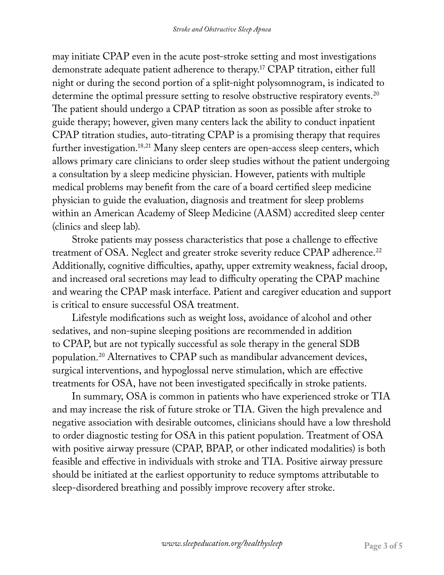may initiate CPAP even in the acute post-stroke setting and most investigations demonstrate adequate patient adherence to therapy.17 CPAP titration, either full night or during the second portion of a split-night polysomnogram, is indicated to determine the optimal pressure setting to resolve obstructive respiratory events.<sup>20</sup> The patient should undergo a CPAP titration as soon as possible after stroke to guide therapy; however, given many centers lack the ability to conduct inpatient CPAP titration studies, auto-titrating CPAP is a promising therapy that requires further investigation.18,21 Many sleep centers are open-access sleep centers, which allows primary care clinicians to order sleep studies without the patient undergoing a consultation by a sleep medicine physician. However, patients with multiple medical problems may benefit from the care of a board certified sleep medicine physician to guide the evaluation, diagnosis and treatment for sleep problems within an American Academy of Sleep Medicine (AASM) accredited sleep center (clinics and sleep lab).

Stroke patients may possess characteristics that pose a challenge to effective treatment of OSA. Neglect and greater stroke severity reduce CPAP adherence.<sup>22</sup> Additionally, cognitive difficulties, apathy, upper extremity weakness, facial droop, and increased oral secretions may lead to difficulty operating the CPAP machine and wearing the CPAP mask interface. Patient and caregiver education and support is critical to ensure successful OSA treatment.

Lifestyle modifications such as weight loss, avoidance of alcohol and other sedatives, and non-supine sleeping positions are recommended in addition to CPAP, but are not typically successful as sole therapy in the general SDB population.20 Alternatives to CPAP such as mandibular advancement devices, surgical interventions, and hypoglossal nerve stimulation, which are effective treatments for OSA, have not been investigated specifically in stroke patients.

In summary, OSA is common in patients who have experienced stroke or TIA and may increase the risk of future stroke or TIA. Given the high prevalence and negative association with desirable outcomes, clinicians should have a low threshold to order diagnostic testing for OSA in this patient population. Treatment of OSA with positive airway pressure (CPAP, BPAP, or other indicated modalities) is both feasible and effective in individuals with stroke and TIA. Positive airway pressure should be initiated at the earliest opportunity to reduce symptoms attributable to sleep-disordered breathing and possibly improve recovery after stroke.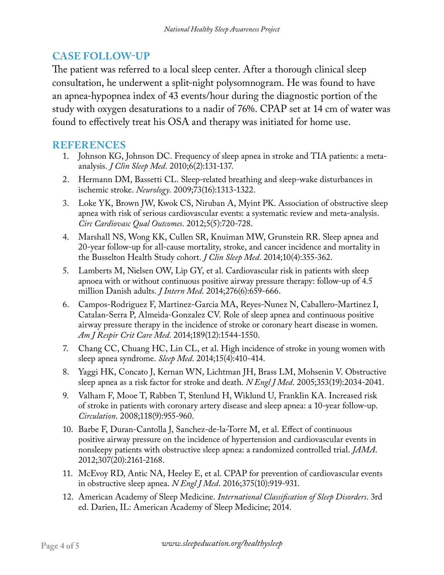## **CASE FOLLOW-UP**

The patient was referred to a local sleep center. After a thorough clinical sleep consultation, he underwent a split-night polysomnogram. He was found to have an apnea-hypopnea index of 43 events/hour during the diagnostic portion of the study with oxygen desaturations to a nadir of 76%. CPAP set at 14 cm of water was found to effectively treat his OSA and therapy was initiated for home use.

#### **REFERENCES**

- 1. Johnson KG, Johnson DC. Frequency of sleep apnea in stroke and TIA patients: a metaanalysis. *J Clin Sleep Med*. 2010;6(2):131-137.
- 2. Hermann DM, Bassetti CL. Sleep-related breathing and sleep-wake disturbances in ischemic stroke. *Neurology*. 2009;73(16):1313-1322.
- 3. Loke YK, Brown JW, Kwok CS, Niruban A, Myint PK. Association of obstructive sleep apnea with risk of serious cardiovascular events: a systematic review and meta-analysis. *Circ Cardiovasc Qual Outcomes*. 2012;5(5):720-728.
- 4. Marshall NS, Wong KK, Cullen SR, Knuiman MW, Grunstein RR. Sleep apnea and 20-year follow-up for all-cause mortality, stroke, and cancer incidence and mortality in the Busselton Health Study cohort. *J Clin Sleep Med*. 2014;10(4):355-362.
- 5. Lamberts M, Nielsen OW, Lip GY, et al. Cardiovascular risk in patients with sleep apnoea with or without continuous positive airway pressure therapy: follow-up of 4.5 million Danish adults. *J Intern Med*. 2014;276(6):659-666.
- 6. Campos-Rodriguez F, Martinez-Garcia MA, Reyes-Nunez N, Caballero-Martinez I, Catalan-Serra P, Almeida-Gonzalez CV. Role of sleep apnea and continuous positive airway pressure therapy in the incidence of stroke or coronary heart disease in women. *Am J Respir Crit Care Med*. 2014;189(12):1544-1550.
- 7. Chang CC, Chuang HC, Lin CL, et al. High incidence of stroke in young women with sleep apnea syndrome. *Sleep Med*. 2014;15(4):410-414.
- 8. Yaggi HK, Concato J, Kernan WN, Lichtman JH, Brass LM, Mohsenin V. Obstructive sleep apnea as a risk factor for stroke and death. *N Engl J Med*. 2005;353(19):2034-2041.
- 9. Valham F, Mooe T, Rabben T, Stenlund H, Wiklund U, Franklin KA. Increased risk of stroke in patients with coronary artery disease and sleep apnea: a 10-year follow-up. *Circulation*. 2008;118(9):955-960.
- 10. Barbe F, Duran-Cantolla J, Sanchez-de-la-Torre M, et al. Effect of continuous positive airway pressure on the incidence of hypertension and cardiovascular events in nonsleepy patients with obstructive sleep apnea: a randomized controlled trial. *JAMA*. 2012;307(20):2161-2168.
- 11. McEvoy RD, Antic NA, Heeley E, et al. CPAP for prevention of cardiovascular events in obstructive sleep apnea. *N Engl J Med*. 2016;375(10):919-931.
- 12. American Academy of Sleep Medicine. *International Classification of Sleep Disorders*. 3rd ed. Darien, IL: American Academy of Sleep Medicine; 2014.